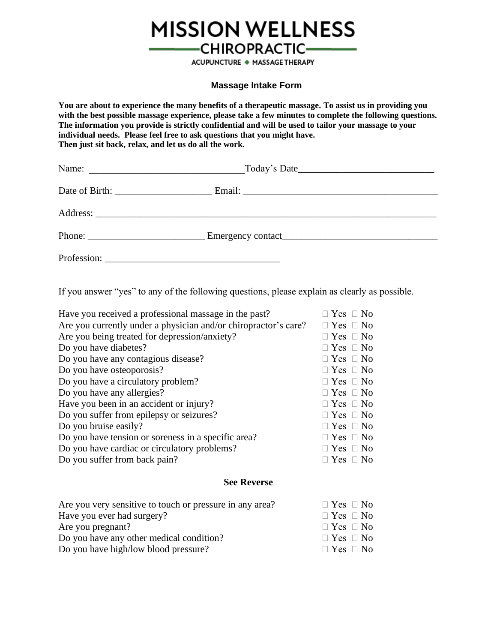

## **Massage Intake Form**

**You are about to experience the many benefits of a therapeutic massage. To assist us in providing you with the best possible massage experience, please take a few minutes to complete the following questions. The information you provide is strictly confidential and will be used to tailor your massage to your individual needs. Please feel free to ask questions that you might have. Then just sit back, relax, and let us do all the work.**

| Phone: $\qquad \qquad$ |                                                                                                                                                                                                                                |  |  |  |
|------------------------|--------------------------------------------------------------------------------------------------------------------------------------------------------------------------------------------------------------------------------|--|--|--|
|                        | Profession: New York Changes and Changes and Changes and Changes and Changes and Changes and Changes and Changes and Changes and Changes and Changes and Changes and Changes and Changes and Changes and Changes and Changes a |  |  |  |

If you answer "yes" to any of the following questions, please explain as clearly as possible.

| $\Box$ Yes $\Box$ No |
|----------------------|
| $\Box$ Yes $\Box$ No |
| $\Box$ Yes $\Box$ No |
| $\Box$ Yes $\Box$ No |
| $\Box$ Yes $\Box$ No |
| $\Box$ Yes $\Box$ No |
| $\Box$ Yes $\Box$ No |
| $\Box$ Yes $\Box$ No |
| $\Box$ Yes $\Box$ No |
| $\Box$ Yes $\Box$ No |
| $\Box$ Yes $\Box$ No |
| $\Box$ Yes $\Box$ No |
| $\Box$ Yes $\Box$ No |
| $\Box$ Yes $\Box$ No |
|                      |

## **See Reverse**

| Are you very sensitive to touch or pressure in any area? | $\Box$ Yes $\Box$ No |
|----------------------------------------------------------|----------------------|
| Have you ever had surgery?                               | $\Box$ Yes $\Box$ No |
| Are you pregnant?                                        | $\Box$ Yes $\Box$ No |
| Do you have any other medical condition?                 | $\Box$ Yes $\Box$ No |
| Do you have high/low blood pressure?                     | $\Box$ Yes $\Box$ No |